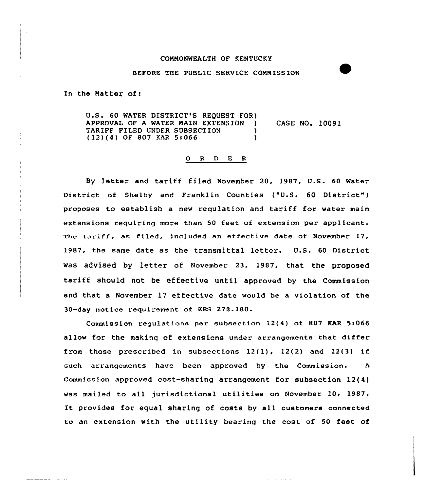## COHHONWEALTH OF KENTUCKY

## BEFORE THE PUBLIC SERVICE COHHISS ION

In the Matter of:

الرادي المدارات والتواصيح والمتعاطف

U.S. 60 WATER DISTRICT'S REQUEST FOR) APPROVAL OF A WATER HAIN EXTENSION ) TARIFF FILED UNDER SUBSECTION  $(12)(4)$  OF 807 KAR 5:066 CASE NO. 10091

## 0 R <sup>D</sup> E R

By letter and tariff filed November 20, 1987, U.S. 60 Water District of Shelby and Franklin Counties ("U.S. 60 District") proposes to establish a new requlation and tariff for water main extensions requiring more than 50 feet of extension per applicant. The tariff, as filed, included an effective date of November 17, 1987, the same date as the transmittal letter. U.S. <sup>60</sup> District was advised by letter of November 23, 1987, that the proposed tariff should not be effective until approved by the Commission and that a November 17 effective date would be a violation of the 30-day notice requirement of KRS 278.180.

Commission regulations per subsection  $12(4)$  of 807 KAR 5:066 allow for the making of extensions under arrangements that differ from those prescribed in subsections  $12(1)$ ,  $12(2)$  and  $12(3)$  if such arrangements have been approved by the Commission. <sup>A</sup> commission approved cost-sharing arrangement for subsection 12(4) was mailed to all jurisdictional utilities on November 10, 1987. It provides for equal sharing of costs by all customers connected to an extension with the utility bearing the cost of 50 feet of

 $\alpha$  , and  $\alpha$  , and  $\alpha$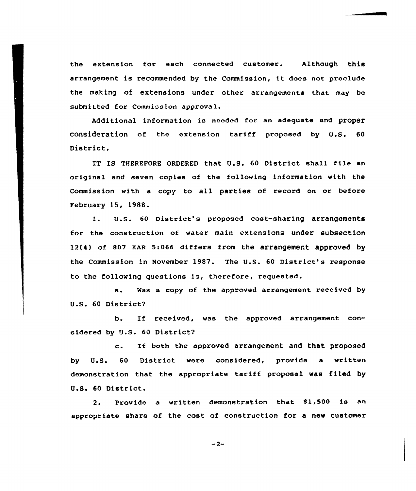the extension for each connected customer. Although this arrangement is recommended by the Commission, it does not preclude the making of extensions under other arrangements that may be submitted for Commission approval.

Additional information is needed for an adequate and proper consideration of the extension tariff proposed by  $U.S.$  60 District.

IT IS THEREFORE ORDERED that U.S. 60 District shall file an original and seven copies of the following information with the Commission with a copy to all parties of record on or before February 15, 1988.

l. U.S. <sup>60</sup> District's proposed cast-sharing arrangements for the construction of water main extensions under subsection 12(4) of 807 KAR 5:066 differs from the arrangement approved by the Commission in November 1987. The U.S. 60 District's response to the following questions is, therefore, requested.

a. Was <sup>a</sup> copy of the approved arrangement received by U.S. 60 District?

b. If received, was the approved arrangement considered by U.S. 60 District?

c. If both the approved arrangement and that proposed by U.S. 60 District were considered, provide a written demonstration that the appropriate tariff proposal was filed by U.S. 60 District.

2. Provide a written demonstration that \$1,500 is an appropriate share of the cost of construction for a new customer

 $-2-$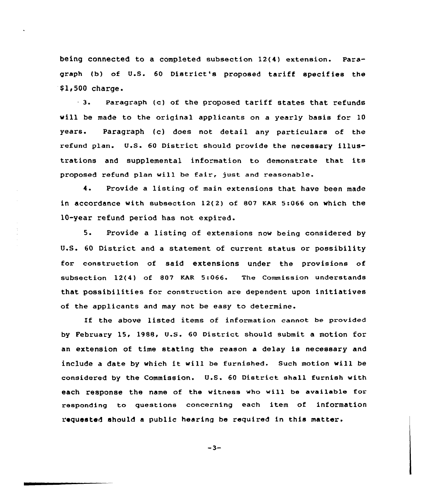being connected to a completed subsection 12(4) extension. Paragraph (b) of U.S. <sup>60</sup> District's proposed tariff specifies the \$1,500 charge.

- 3. Paragraph (c) of the proposed tariff states that refunds vill be made to the original applicants on <sup>a</sup> yearly basis for l0 years. Paragraph (c) does not detail any particulars of the refund plan. U.S. 60 District should provide the necessary illustrations and supplemental information to demonstrate that its proposed refund plan will be fair, just and reasonable.

4. Provide <sup>a</sup> listing of main extensions that have been made in accordance with subsection 12(2) of 807 KAR 5:066 on which the 10-year refund period has not expired.

5. Provide a listing of extensions now being considered by U.S. 60 District and a statement of current status or possibility for construction of said extensions under the provisions of subsection 12(4) of 807 KAR 5:066. The Commission understands that possibilities for construction are dependent upon initiatives of the applicants and may not be easy to determine.

If the above listed items of information cannot be provided by February 15, 1988, U.S. 60 District should submit a motion for an extension of time stating the reason a delay is necessary and include <sup>a</sup> date by which it will be furnished. Such motion will be considered by the Commission. U.S. 60 District shall furnish with each response the name of the witness who will be available for responding to questions concerning each item of information requested should <sup>a</sup> public hearing be required in this matter.

 $-3-$